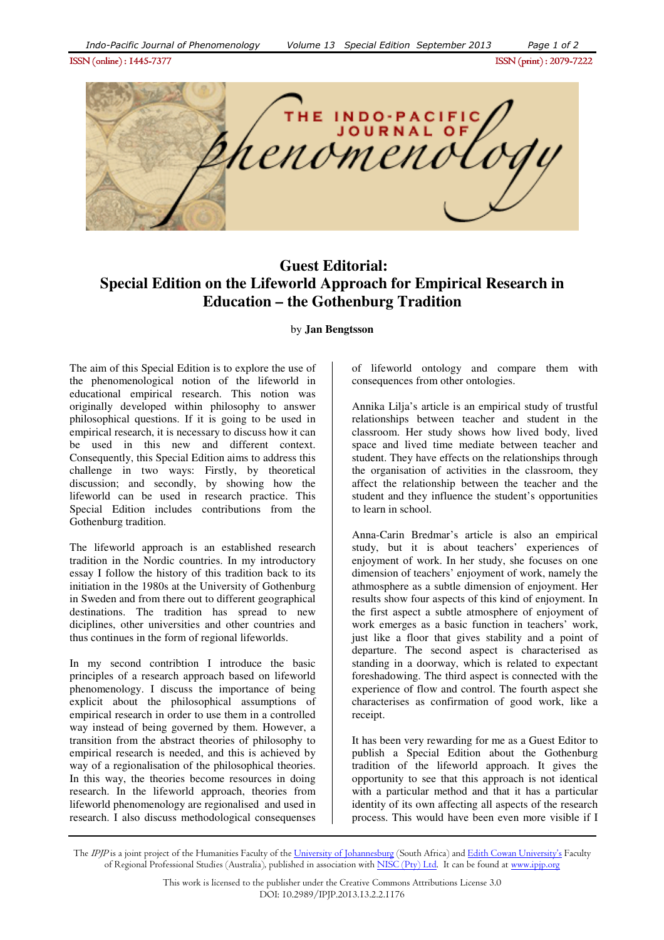ISSN (online) : 1445- ISSN (online) : 1445-7377ISSN (print) : 2079- ISSN (print) 2079-7222



## **Guest Editorial: Special Edition on the Lifeworld Approach for Empirical Research in Education – the Gothenburg Tradition**

by **Jan Bengtsson**

The aim of this Special Edition is to explore the use of the phenomenological notion of the lifeworld in educational empirical research. This notion was originally developed within philosophy to answer philosophical questions. If it is going to be used in empirical research, it is necessary to discuss how it can be used in this new and different context. Consequently, this Special Edition aims to address this challenge in two ways: Firstly, by theoretical discussion; and secondly, by showing how the lifeworld can be used in research practice. This Special Edition includes contributions from the Gothenburg tradition.

The lifeworld approach is an established research tradition in the Nordic countries. In my introductory essay I follow the history of this tradition back to its initiation in the 1980s at the University of Gothenburg in Sweden and from there out to different geographical destinations. The tradition has spread to new diciplines, other universities and other countries and thus continues in the form of regional lifeworlds.

In my second contribtion I introduce the basic principles of a research approach based on lifeworld phenomenology. I discuss the importance of being explicit about the philosophical assumptions of empirical research in order to use them in a controlled way instead of being governed by them. However, a transition from the abstract theories of philosophy to empirical research is needed, and this is achieved by way of a regionalisation of the philosophical theories. In this way, the theories become resources in doing research. In the lifeworld approach, theories from lifeworld phenomenology are regionalised and used in research. I also discuss methodological consequenses

of lifeworld ontology and compare them with consequences from other ontologies.

Annika Lilja's article is an empirical study of trustful relationships between teacher and student in the classroom. Her study shows how lived body, lived space and lived time mediate between teacher and student. They have effects on the relationships through the organisation of activities in the classroom, they affect the relationship between the teacher and the student and they influence the student's opportunities to learn in school.

Anna-Carin Bredmar's article is also an empirical study, but it is about teachers' experiences of enjoyment of work. In her study, she focuses on one dimension of teachers' enjoyment of work, namely the athmosphere as a subtle dimension of enjoyment. Her results show four aspects of this kind of enjoyment. In the first aspect a subtle atmosphere of enjoyment of work emerges as a basic function in teachers' work, just like a floor that gives stability and a point of departure. The second aspect is characterised as standing in a doorway, which is related to expectant foreshadowing. The third aspect is connected with the experience of flow and control. The fourth aspect she characterises as confirmation of good work, like a receipt.

It has been very rewarding for me as a Guest Editor to publish a Special Edition about the Gothenburg tradition of the lifeworld approach. It gives the opportunity to see that this approach is not identical with a particular method and that it has a particular identity of its own affecting all aspects of the research process. This would have been even more visible if I

The IPJP is a joint project of the Humanities Faculty of the University of Johannesburg (South Africa) and Edith Cowan University's Faculty of Regional Professional Studies (Australia), published in association with NISC (Pty) Ltd. It can be found at www.ipjp.org